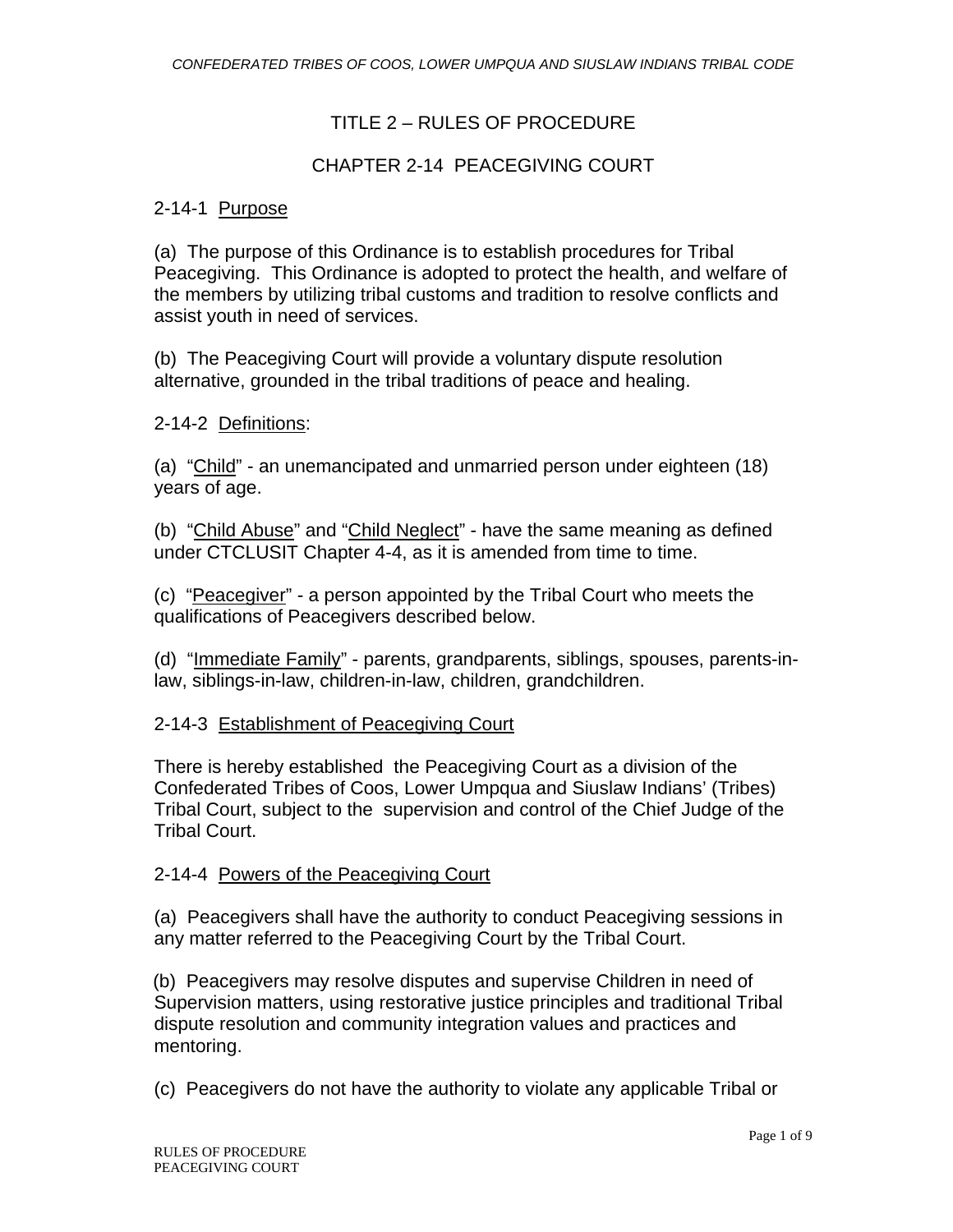# TITLE 2 – RULES OF PROCEDURE

## CHAPTER 2-14 PEACEGIVING COURT

## 2-14-1 Purpose

(a) The purpose of this Ordinance is to establish procedures for Tribal Peacegiving. This Ordinance is adopted to protect the health, and welfare of the members by utilizing tribal customs and tradition to resolve conflicts and assist youth in need of services.

(b) The Peacegiving Court will provide a voluntary dispute resolution alternative, grounded in the tribal traditions of peace and healing.

#### 2-14-2 Definitions:

(a) "Child" - an unemancipated and unmarried person under eighteen (18) years of age.

(b) "Child Abuse" and "Child Neglect" - have the same meaning as defined under CTCLUSIT Chapter 4-4, as it is amended from time to time.

(c) "Peacegiver" - a person appointed by the Tribal Court who meets the qualifications of Peacegivers described below.

(d) "Immediate Family" - parents, grandparents, siblings, spouses, parents-inlaw, siblings-in-law, children-in-law, children, grandchildren.

#### 2-14-3 Establishment of Peacegiving Court

There is hereby established the Peacegiving Court as a division of the Confederated Tribes of Coos, Lower Umpqua and Siuslaw Indians' (Tribes) Tribal Court, subject to the supervision and control of the Chief Judge of the Tribal Court.

#### 2-14-4 Powers of the Peacegiving Court

(a) Peacegivers shall have the authority to conduct Peacegiving sessions in any matter referred to the Peacegiving Court by the Tribal Court.

(b) Peacegivers may resolve disputes and supervise Children in need of Supervision matters, using restorative justice principles and traditional Tribal dispute resolution and community integration values and practices and mentoring.

(c) Peacegivers do not have the authority to violate any applicable Tribal or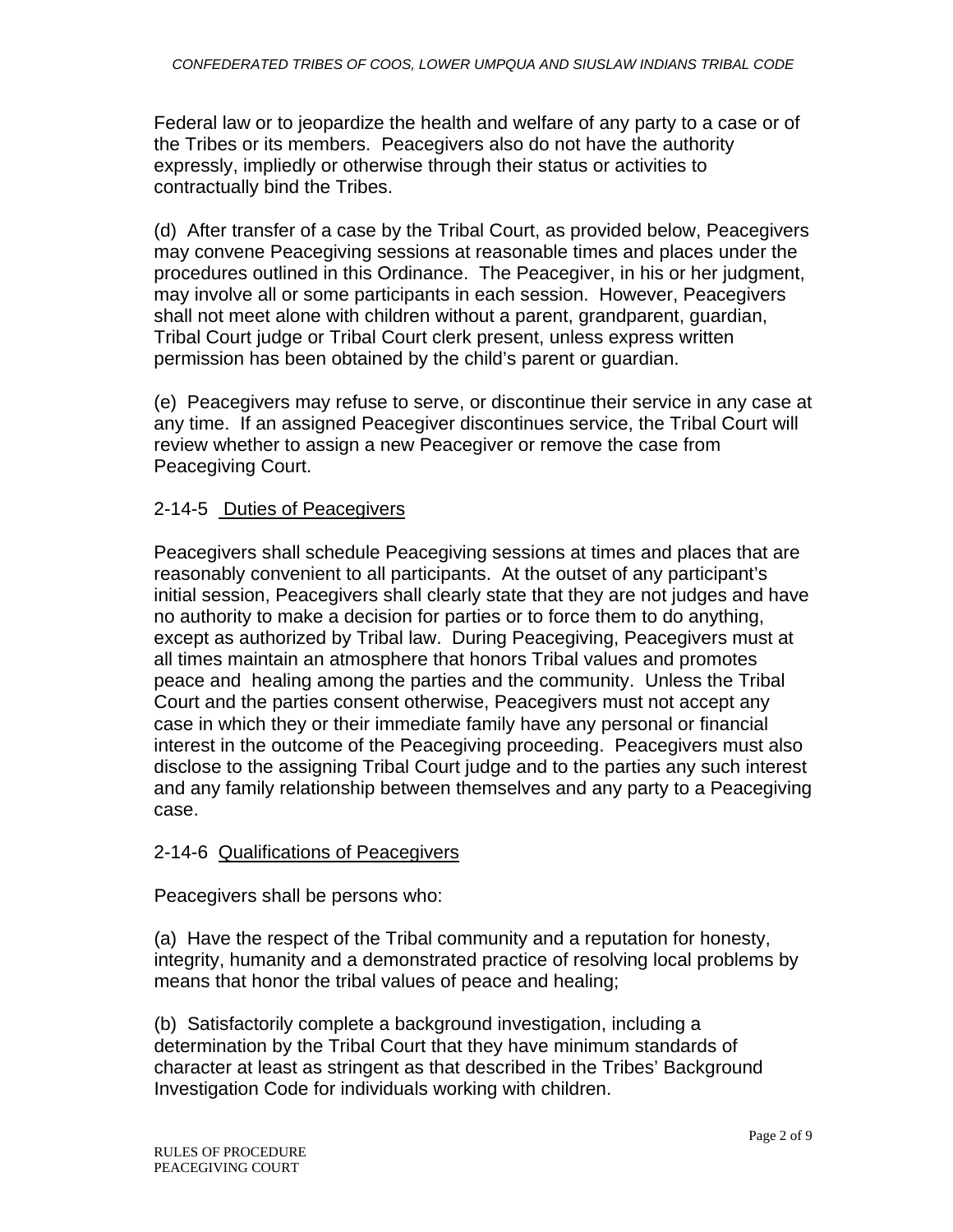Federal law or to jeopardize the health and welfare of any party to a case or of the Tribes or its members. Peacegivers also do not have the authority expressly, impliedly or otherwise through their status or activities to contractually bind the Tribes.

(d) After transfer of a case by the Tribal Court, as provided below, Peacegivers may convene Peacegiving sessions at reasonable times and places under the procedures outlined in this Ordinance. The Peacegiver, in his or her judgment, may involve all or some participants in each session. However, Peacegivers shall not meet alone with children without a parent, grandparent, guardian, Tribal Court judge or Tribal Court clerk present, unless express written permission has been obtained by the child's parent or guardian.

(e) Peacegivers may refuse to serve, or discontinue their service in any case at any time. If an assigned Peacegiver discontinues service, the Tribal Court will review whether to assign a new Peacegiver or remove the case from Peacegiving Court.

# 2-14-5 Duties of Peacegivers

Peacegivers shall schedule Peacegiving sessions at times and places that are reasonably convenient to all participants. At the outset of any participant's initial session, Peacegivers shall clearly state that they are not judges and have no authority to make a decision for parties or to force them to do anything, except as authorized by Tribal law. During Peacegiving, Peacegivers must at all times maintain an atmosphere that honors Tribal values and promotes peace and healing among the parties and the community. Unless the Tribal Court and the parties consent otherwise, Peacegivers must not accept any case in which they or their immediate family have any personal or financial interest in the outcome of the Peacegiving proceeding. Peacegivers must also disclose to the assigning Tribal Court judge and to the parties any such interest and any family relationship between themselves and any party to a Peacegiving case.

# 2-14-6 Qualifications of Peacegivers

Peacegivers shall be persons who:

(a) Have the respect of the Tribal community and a reputation for honesty, integrity, humanity and a demonstrated practice of resolving local problems by means that honor the tribal values of peace and healing;

(b) Satisfactorily complete a background investigation, including a determination by the Tribal Court that they have minimum standards of character at least as stringent as that described in the Tribes' Background Investigation Code for individuals working with children.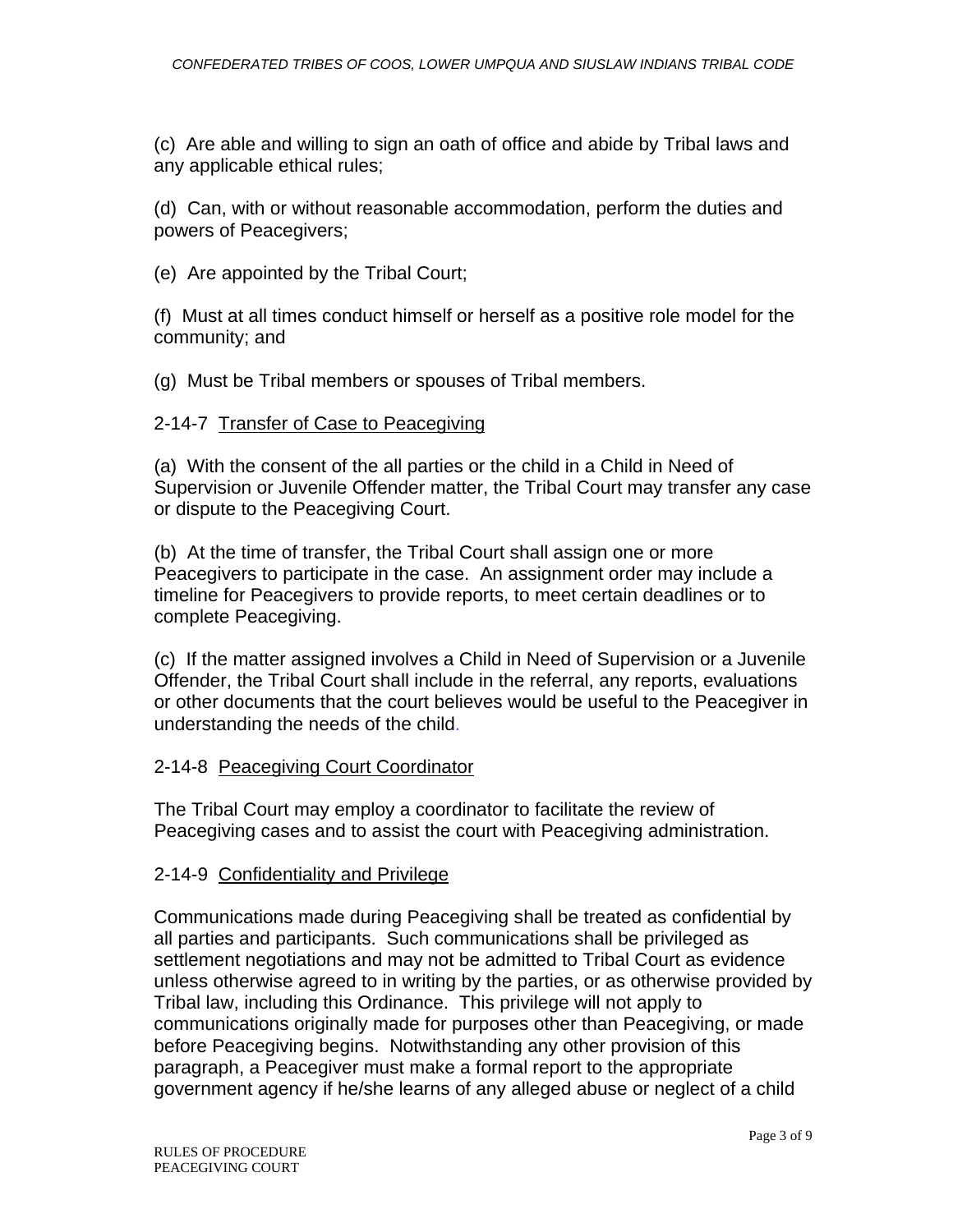(c) Are able and willing to sign an oath of office and abide by Tribal laws and any applicable ethical rules;

(d) Can, with or without reasonable accommodation, perform the duties and powers of Peacegivers;

(e)Are appointed by the Tribal Court;

(f) Must at all times conduct himself or herself as a positive role model for the community; and

(g) Must be Tribal members or spouses of Tribal members.

## 2-14-7 Transfer of Case to Peacegiving

(a) With the consent of the all parties or the child in a Child in Need of Supervision or Juvenile Offender matter, the Tribal Court may transfer any case or dispute to the Peacegiving Court.

(b) At the time of transfer, the Tribal Court shall assign one or more Peacegivers to participate in the case. An assignment order may include a timeline for Peacegivers to provide reports, to meet certain deadlines or to complete Peacegiving.

(c) If the matter assigned involves a Child in Need of Supervision or a Juvenile Offender, the Tribal Court shall include in the referral, any reports, evaluations or other documents that the court believes would be useful to the Peacegiver in understanding the needs of the child.

#### 2-14-8 Peacegiving Court Coordinator

The Tribal Court may employ a coordinator to facilitate the review of Peacegiving cases and to assist the court with Peacegiving administration.

#### 2-14-9 Confidentiality and Privilege

Communications made during Peacegiving shall be treated as confidential by all parties and participants. Such communications shall be privileged as settlement negotiations and may not be admitted to Tribal Court as evidence unless otherwise agreed to in writing by the parties, or as otherwise provided by Tribal law, including this Ordinance. This privilege will not apply to communications originally made for purposes other than Peacegiving, or made before Peacegiving begins. Notwithstanding any other provision of this paragraph, a Peacegiver must make a formal report to the appropriate government agency if he/she learns of any alleged abuse or neglect of a child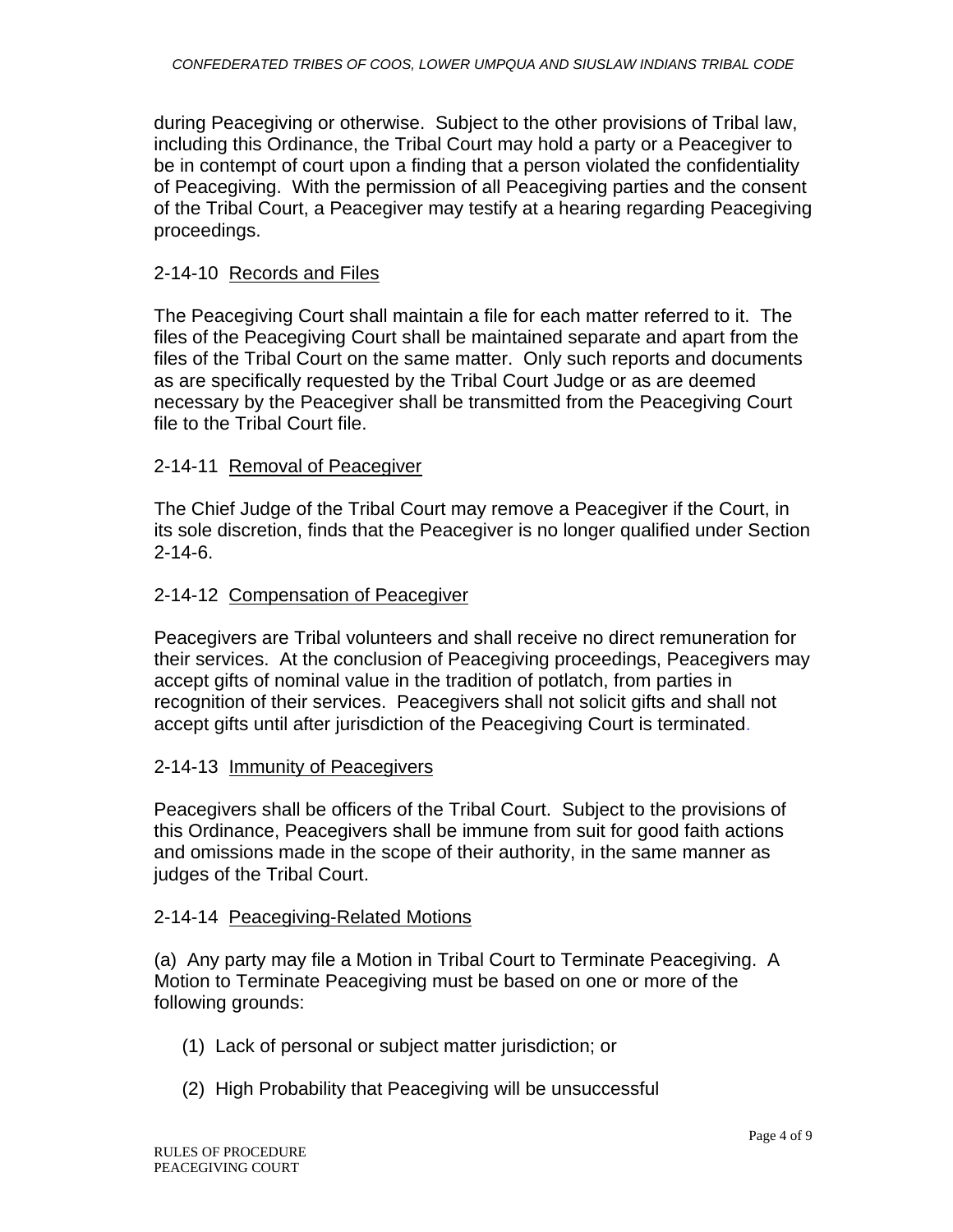during Peacegiving or otherwise. Subject to the other provisions of Tribal law, including this Ordinance, the Tribal Court may hold a party or a Peacegiver to be in contempt of court upon a finding that a person violated the confidentiality of Peacegiving. With the permission of all Peacegiving parties and the consent of the Tribal Court, a Peacegiver may testify at a hearing regarding Peacegiving proceedings.

## 2-14-10 Records and Files

The Peacegiving Court shall maintain a file for each matter referred to it. The files of the Peacegiving Court shall be maintained separate and apart from the files of the Tribal Court on the same matter. Only such reports and documents as are specifically requested by the Tribal Court Judge or as are deemed necessary by the Peacegiver shall be transmitted from the Peacegiving Court file to the Tribal Court file.

## 2-14-11 Removal of Peacegiver

The Chief Judge of the Tribal Court may remove a Peacegiver if the Court, in its sole discretion, finds that the Peacegiver is no longer qualified under Section 2-14-6.

## 2-14-12 Compensation of Peacegiver

Peacegivers are Tribal volunteers and shall receive no direct remuneration for their services. At the conclusion of Peacegiving proceedings, Peacegivers may accept gifts of nominal value in the tradition of potlatch, from parties in recognition of their services. Peacegivers shall not solicit gifts and shall not accept gifts until after jurisdiction of the Peacegiving Court is terminated.

## 2-14-13 Immunity of Peacegivers

Peacegivers shall be officers of the Tribal Court. Subject to the provisions of this Ordinance, Peacegivers shall be immune from suit for good faith actions and omissions made in the scope of their authority, in the same manner as judges of the Tribal Court.

## 2-14-14 Peacegiving-Related Motions

(a) Any party may file a Motion in Tribal Court to Terminate Peacegiving. A Motion to Terminate Peacegiving must be based on one or more of the following grounds:

- (1) Lack of personal or subject matter jurisdiction; or
- (2) High Probability that Peacegiving will be unsuccessful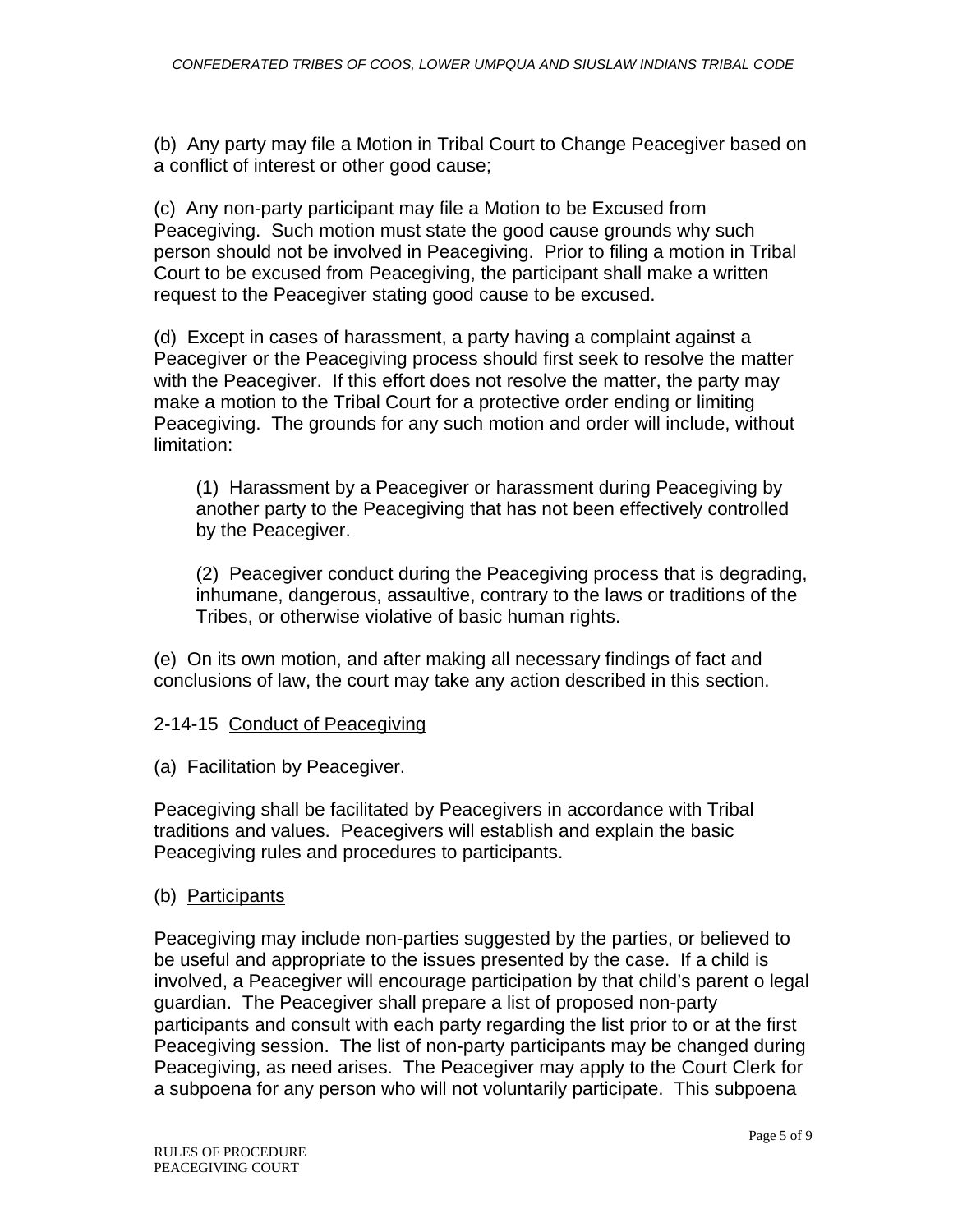(b) Any party may file a Motion in Tribal Court to Change Peacegiver based on a conflict of interest or other good cause;

(c) Any non-party participant may file a Motion to be Excused from Peacegiving. Such motion must state the good cause grounds why such person should not be involved in Peacegiving. Prior to filing a motion in Tribal Court to be excused from Peacegiving, the participant shall make a written request to the Peacegiver stating good cause to be excused.

(d) Except in cases of harassment, a party having a complaint against a Peacegiver or the Peacegiving process should first seek to resolve the matter with the Peacegiver. If this effort does not resolve the matter, the party may make a motion to the Tribal Court for a protective order ending or limiting Peacegiving. The grounds for any such motion and order will include, without limitation:

(1) Harassment by a Peacegiver or harassment during Peacegiving by another party to the Peacegiving that has not been effectively controlled by the Peacegiver.

(2) Peacegiver conduct during the Peacegiving process that is degrading, inhumane, dangerous, assaultive, contrary to the laws or traditions of the Tribes, or otherwise violative of basic human rights.

(e) On its own motion, and after making all necessary findings of fact and conclusions of law, the court may take any action described in this section.

## 2-14-15 Conduct of Peacegiving

(a) Facilitation by Peacegiver.

Peacegiving shall be facilitated by Peacegivers in accordance with Tribal traditions and values. Peacegivers will establish and explain the basic Peacegiving rules and procedures to participants.

## (b) Participants

Peacegiving may include non-parties suggested by the parties, or believed to be useful and appropriate to the issues presented by the case. If a child is involved, a Peacegiver will encourage participation by that child's parent o legal guardian. The Peacegiver shall prepare a list of proposed non-party participants and consult with each party regarding the list prior to or at the first Peacegiving session. The list of non-party participants may be changed during Peacegiving, as need arises. The Peacegiver may apply to the Court Clerk for a subpoena for any person who will not voluntarily participate. This subpoena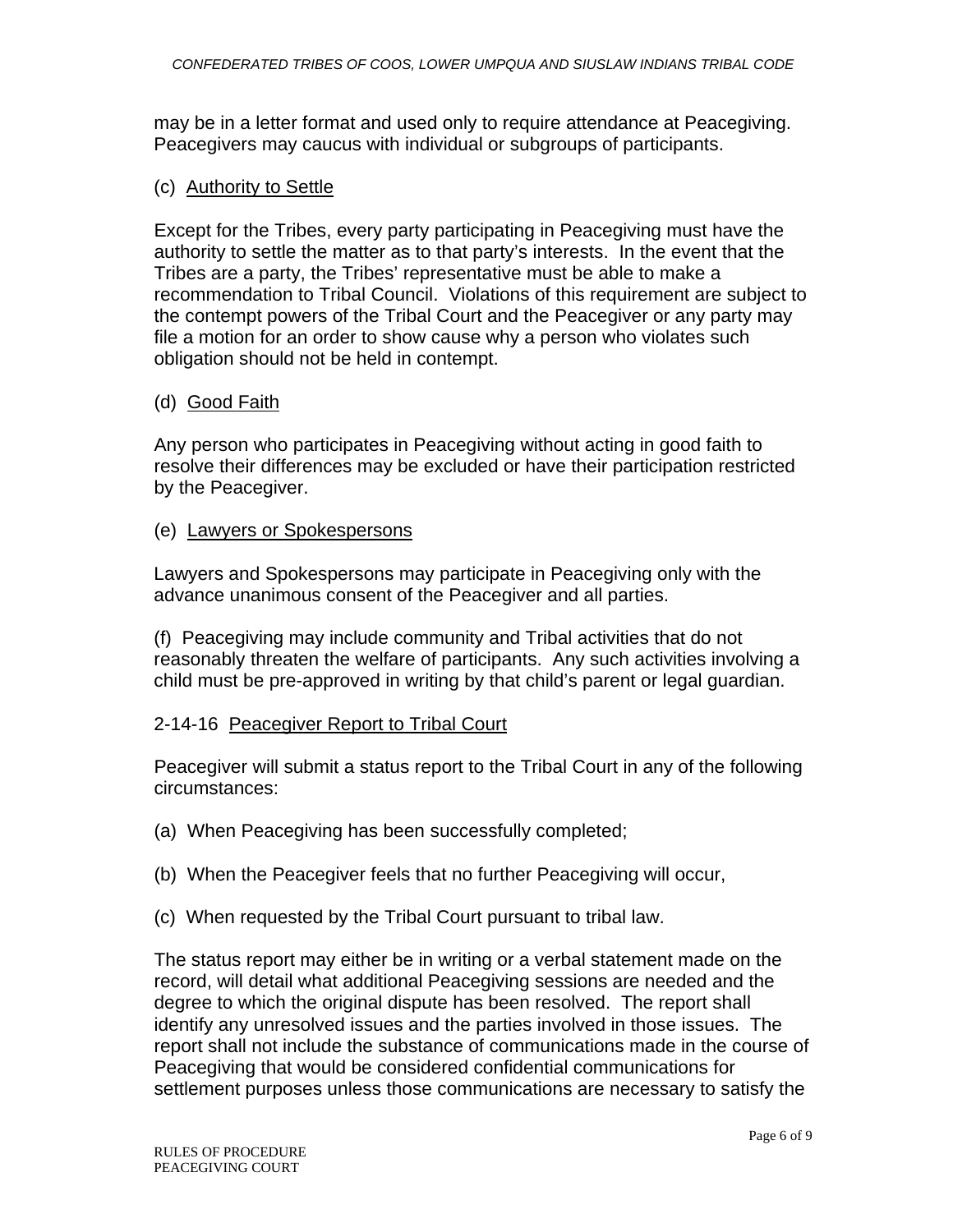may be in a letter format and used only to require attendance at Peacegiving. Peacegivers may caucus with individual or subgroups of participants.

#### (c) Authority to Settle

Except for the Tribes, every party participating in Peacegiving must have the authority to settle the matter as to that party's interests. In the event that the Tribes are a party, the Tribes' representative must be able to make a recommendation to Tribal Council. Violations of this requirement are subject to the contempt powers of the Tribal Court and the Peacegiver or any party may file a motion for an order to show cause why a person who violates such obligation should not be held in contempt.

## (d) Good Faith

Any person who participates in Peacegiving without acting in good faith to resolve their differences may be excluded or have their participation restricted by the Peacegiver.

## (e) Lawyers or Spokespersons

Lawyers and Spokespersons may participate in Peacegiving only with the advance unanimous consent of the Peacegiver and all parties.

(f) Peacegiving may include community and Tribal activities that do not reasonably threaten the welfare of participants. Any such activities involving a child must be pre-approved in writing by that child's parent or legal guardian.

## 2-14-16 Peacegiver Report to Tribal Court

Peacegiver will submit a status report to the Tribal Court in any of the following circumstances:

- (a) When Peacegiving has been successfully completed;
- (b) When the Peacegiver feels that no further Peacegiving will occur,
- (c) When requested by the Tribal Court pursuant to tribal law.

The status report may either be in writing or a verbal statement made on the record, will detail what additional Peacegiving sessions are needed and the degree to which the original dispute has been resolved. The report shall identify any unresolved issues and the parties involved in those issues. The report shall not include the substance of communications made in the course of Peacegiving that would be considered confidential communications for settlement purposes unless those communications are necessary to satisfy the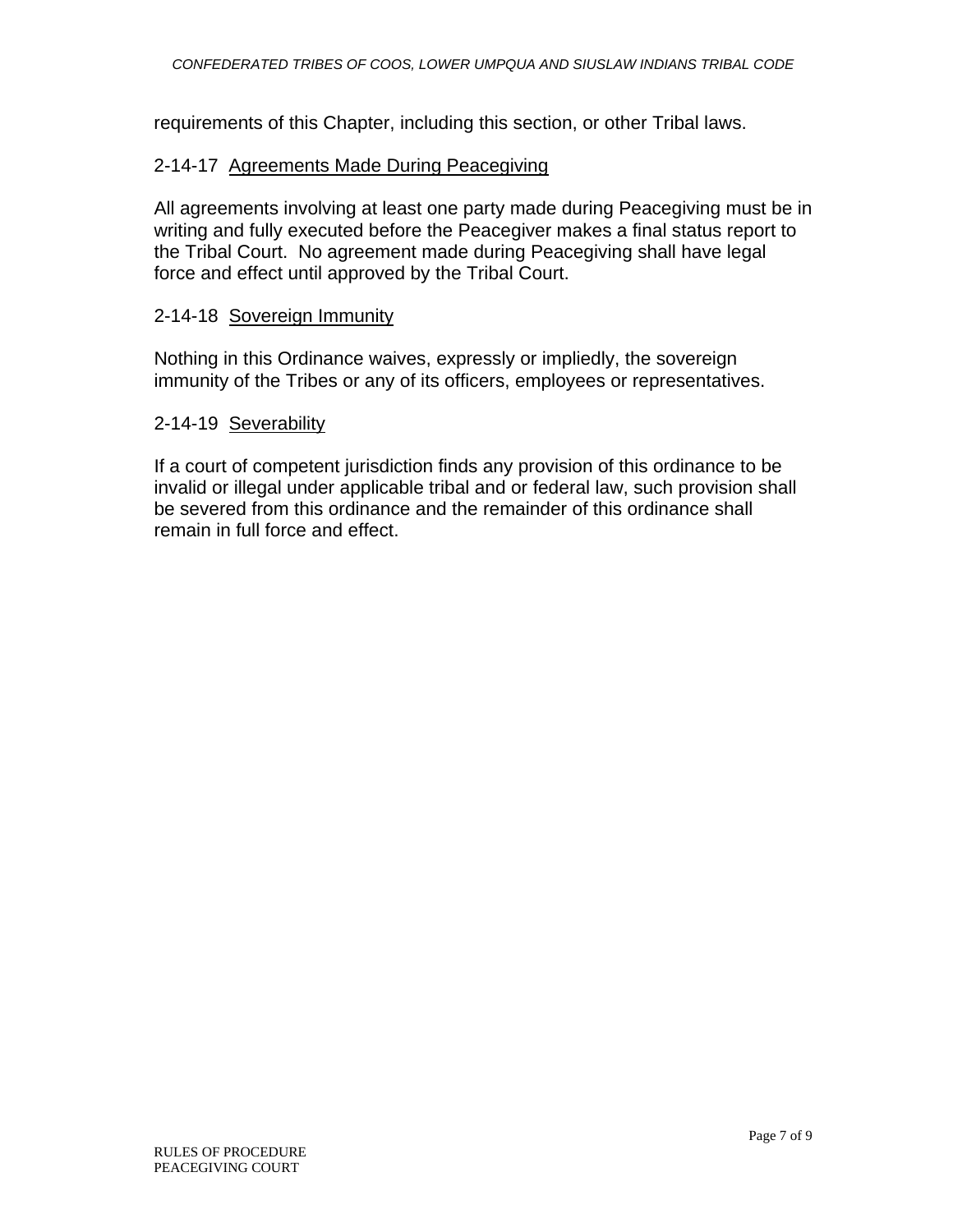requirements of this Chapter, including this section, or other Tribal laws.

## 2-14-17 Agreements Made During Peacegiving

All agreements involving at least one party made during Peacegiving must be in writing and fully executed before the Peacegiver makes a final status report to the Tribal Court. No agreement made during Peacegiving shall have legal force and effect until approved by the Tribal Court.

## 2-14-18 Sovereign Immunity

Nothing in this Ordinance waives, expressly or impliedly, the sovereign immunity of the Tribes or any of its officers, employees or representatives.

## 2-14-19 Severability

If a court of competent jurisdiction finds any provision of this ordinance to be invalid or illegal under applicable tribal and or federal law, such provision shall be severed from this ordinance and the remainder of this ordinance shall remain in full force and effect.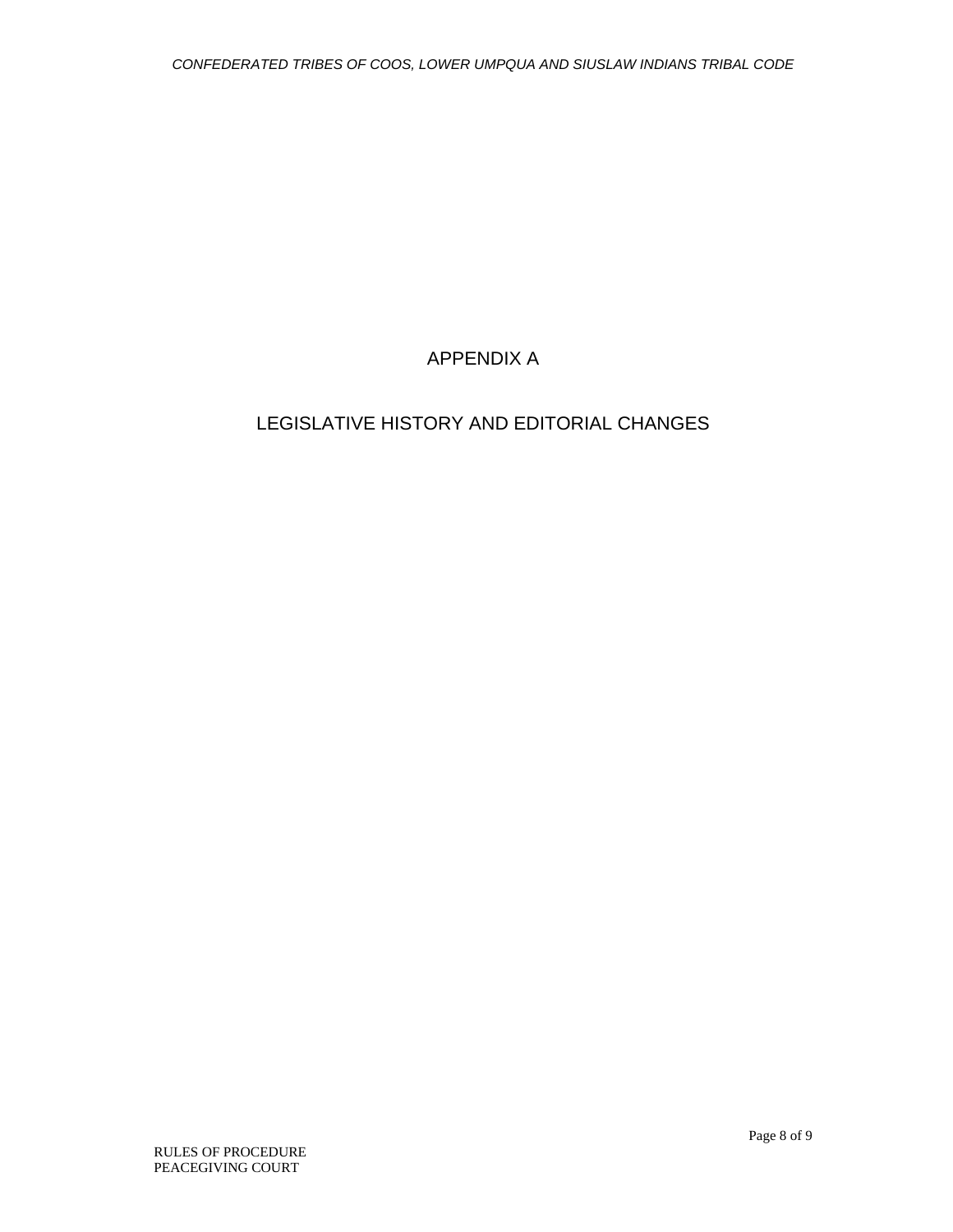# APPENDIX A

# LEGISLATIVE HISTORY AND EDITORIAL CHANGES